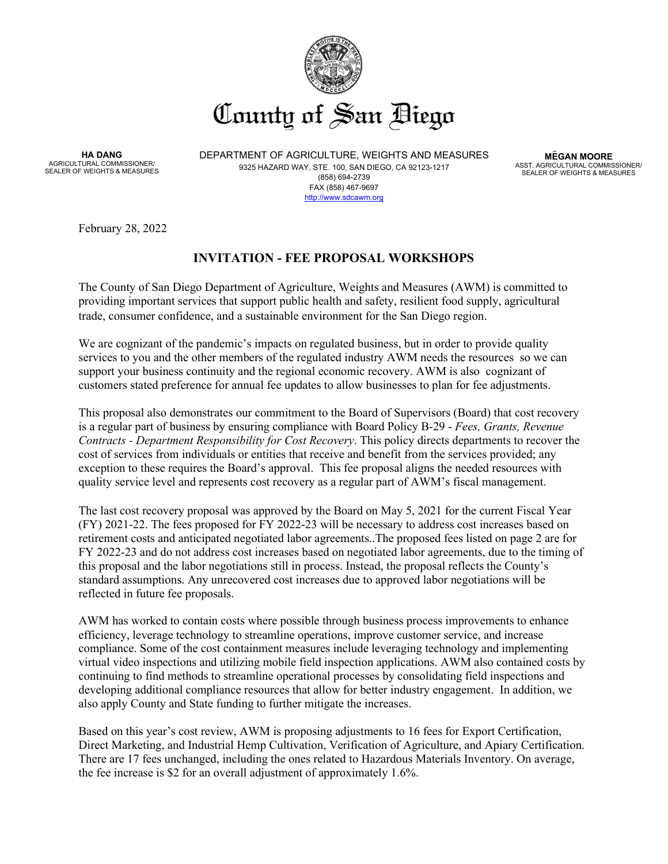

**HA DANG** AGRICULTURAL COMMISSIONER/ SEALER OF WEIGHTS & MEASURES DEPARTMENT OF AGRICULTURE, WEIGHTS AND MEASURES 9325 HAZARD WAY, STE. 100, SAN DIEGO, CA 92123-1217 (858) 694-2739 FAX (858) 467-9697 [http://www.sdcawm.org](http://www.sdcawm.org/)

**MEGAN MOORE** ASST. AGRICULTURAL COMMISSIONER/ SEALER OF WEIGHTS & MEASURES

February 28, 2022

# **INVITATION - FEE PROPOSAL WORKSHOPS**

The County of San Diego Department of Agriculture, Weights and Measures (AWM) is committed to providing important services that support public health and safety, resilient food supply, agricultural trade, consumer confidence, and a sustainable environment for the San Diego region.

We are cognizant of the pandemic's impacts on regulated business, but in order to provide quality services to you and the other members of the regulated industry AWM needs the resources so we can support your business continuity and the regional economic recovery. AWM is also cognizant of customers stated preference for annual fee updates to allow businesses to plan for fee adjustments.

This proposal also demonstrates our commitment to the Board of Supervisors (Board) that cost recovery is a regular part of business by ensuring compliance with Board Policy B-29 - *Fees, Grants, Revenue Contracts - Department Responsibility for Cost Recovery*. This policy directs departments to recover the cost of services from individuals or entities that receive and benefit from the services provided; any exception to these requires the Board's approval. This fee proposal aligns the needed resources with quality service level and represents cost recovery as a regular part of AWM's fiscal management.

The last cost recovery proposal was approved by the Board on May 5, 2021 for the current Fiscal Year (FY) 2021-22. The fees proposed for FY 2022-23 will be necessary to address cost increases based on retirement costs and anticipated negotiated labor agreements..The proposed fees listed on page 2 are for FY 2022-23 and do not address cost increases based on negotiated labor agreements, due to the timing of this proposal and the labor negotiations still in process. Instead, the proposal reflects the County's standard assumptions. Any unrecovered cost increases due to approved labor negotiations will be reflected in future fee proposals.

AWM has worked to contain costs where possible through business process improvements to enhance efficiency, leverage technology to streamline operations, improve customer service, and increase compliance. Some of the cost containment measures include leveraging technology and implementing virtual video inspections and utilizing mobile field inspection applications. AWM also contained costs by continuing to find methods to streamline operational processes by consolidating field inspections and developing additional compliance resources that allow for better industry engagement. In addition, we also apply County and State funding to further mitigate the increases.

Based on this year's cost review, AWM is proposing adjustments to 16 fees for Export Certification, Direct Marketing, and Industrial Hemp Cultivation, Verification of Agriculture, and Apiary Certification. There are 17 fees unchanged, including the ones related to Hazardous Materials Inventory. On average, the fee increase is \$2 for an overall adjustment of approximately 1.6%.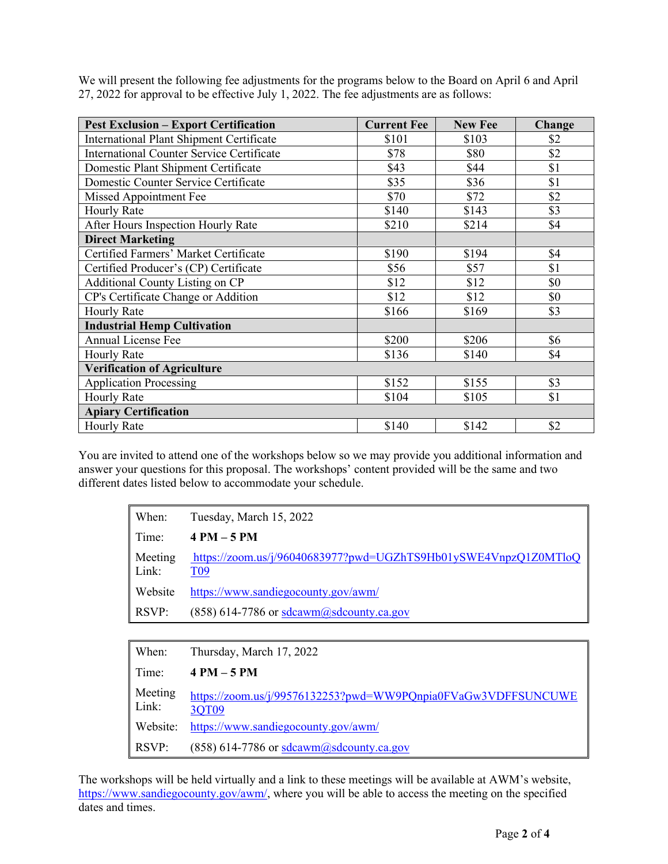We will present the following fee adjustments for the programs below to the Board on April 6 and April 27, 2022 for approval to be effective July 1, 2022. The fee adjustments are as follows:

| <b>Pest Exclusion - Export Certification</b>     | <b>Current Fee</b> | <b>New Fee</b> | Change |
|--------------------------------------------------|--------------------|----------------|--------|
| <b>International Plant Shipment Certificate</b>  | \$101              | \$103          | \$2    |
| <b>International Counter Service Certificate</b> | \$78               | \$80           | \$2    |
| Domestic Plant Shipment Certificate              | \$43               | \$44           | \$1    |
| Domestic Counter Service Certificate             | \$35               | \$36           | \$1    |
| Missed Appointment Fee                           | \$70               | \$72           | \$2    |
| <b>Hourly Rate</b>                               | \$140              | \$143          | \$3    |
| After Hours Inspection Hourly Rate               | \$210              | \$214          | \$4    |
| <b>Direct Marketing</b>                          |                    |                |        |
| Certified Farmers' Market Certificate            | \$190              | \$194          | \$4    |
| Certified Producer's (CP) Certificate            | \$56               | \$57           | \$1    |
| Additional County Listing on CP                  | \$12               | \$12           | \$0    |
| CP's Certificate Change or Addition              | \$12               | \$12           | \$0    |
| <b>Hourly Rate</b>                               | \$166              | \$169          | \$3    |
| <b>Industrial Hemp Cultivation</b>               |                    |                |        |
| <b>Annual License Fee</b>                        | \$200              | \$206          | \$6    |
| <b>Hourly Rate</b>                               | \$136              | \$140          | \$4    |
| <b>Verification of Agriculture</b>               |                    |                |        |
| <b>Application Processing</b>                    | \$152              | \$155          | \$3    |
| <b>Hourly Rate</b>                               | \$104              | \$105          | \$1    |
| <b>Apiary Certification</b>                      |                    |                |        |
| <b>Hourly Rate</b>                               | \$140              | \$142          | \$2    |

You are invited to attend one of the workshops below so we may provide you additional information and answer your questions for this proposal. The workshops' content provided will be the same and two different dates listed below to accommodate your schedule.

| When:            | Tuesday, March 15, 2022                                                            |
|------------------|------------------------------------------------------------------------------------|
| Time:            | $4 PM - 5 PM$                                                                      |
| Meeting<br>Link: | https://zoom.us/j/96040683977?pwd=UGZhTS9Hb01ySWE4VnpzQ1Z0MTloQ<br>T <sub>09</sub> |
| Website          | https://www.sandiegocounty.gov/awm/                                                |
| RSVP:            | $(858)$ 614-7786 or sdcawm@sdcounty.ca.gov                                         |
|                  |                                                                                    |

| When:            | Thursday, March 17, 2022                                               |
|------------------|------------------------------------------------------------------------|
| Time:            | $4 PM - 5 PM$                                                          |
| Meeting<br>Link: | https://zoom.us/j/99576132253?pwd=WW9PQnpia0FVaGw3VDFFSUNCUWE<br>3QT09 |
| Website:         | https://www.sandiegocounty.gov/awm/                                    |
| RSVP:            | $(858)$ 614-7786 or sdcawm $(a)$ sdcounty.ca.gov                       |

The workshops will be held virtually and a link to these meetings will be available at AWM's website, [https://www.sandiegocounty.gov/awm/,](https://www.sandiegocounty.gov/awm/) where you will be able to access the meeting on the specified dates and times.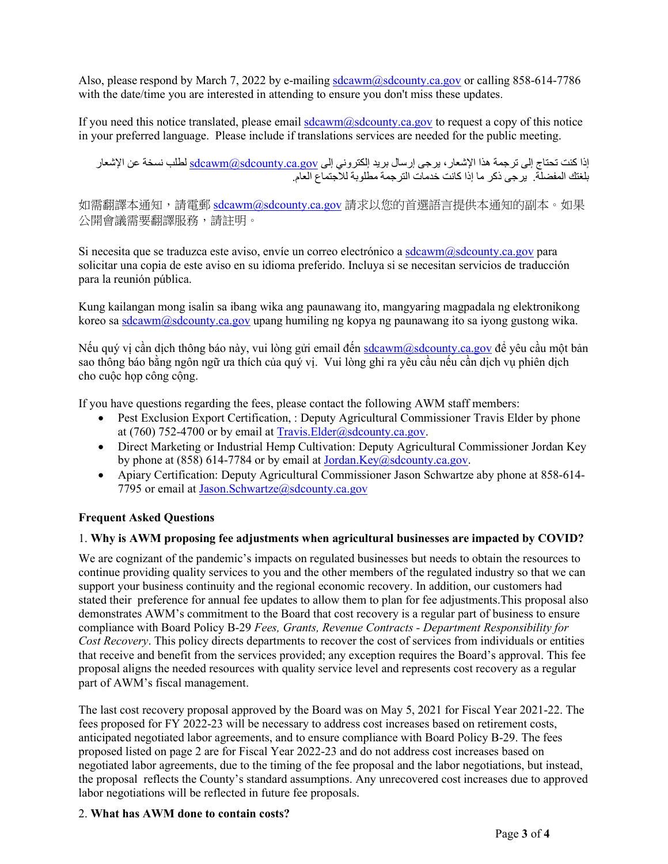Also, please respond by March 7, 2022 by e-mailing [sdcawm@sdcounty.ca.gov](mailto:sdcawm@sdcounty.ca.gov) or calling 858-614-7786 with the date/time you are interested in attending to ensure you don't miss these updates.

If you need this notice translated, please email  $\frac{sdcawm(a) sdcounty.ca.gov}$  to request a copy of this notice in your preferred language. Please include if translations services are needed for the public meeting.

إذا كنت تحتاج إلى ترجمة هذا الإشعار ، يرجى إرسال بريد إلكتروني إلى <u>sdcawm@sdcounty.ca.gov </u>لطلب نسخة عن الإشعار بلغتك المفضلة. یرجى ذكر ما إذا كانت خدمات الترجمة مطلوبة للاجتماع العام.

如需翻譯本通知,請電郵 [sdcawm@sdcounty.ca.gov](mailto:sdcawm@sdcounty.ca.gov) 請求以您的首選語言提供本通知的副本。如果 公開會議需要翻譯服務,請註明。

Si necesita que se traduzca este aviso, envíe un correo electrónico [a sdcawm@sdcounty.ca.gov](mailto:sdcawm@sdcounty.ca.gov) para solicitar una copia de este aviso en su idioma preferido. Incluya si se necesitan servicios de traducción para la reunión pública.

Kung kailangan mong isalin sa ibang wika ang paunawang ito, mangyaring magpadala ng elektronikong koreo s[a sdcawm@sdcounty.ca.gov](mailto:sdcawm@sdcounty.ca.gov) upang humiling ng kopya ng paunawang ito sa iyong gustong wika.

Nếu quý vị cần dịch thông báo này, vui lòng gửi email đến [sdcawm@sdcounty.ca.gov](mailto:sdcawm@sdcounty.ca.gov) để yêu cầu một bản sao thông báo bằng ngôn ngữ ưa thích của quý vị. Vui lòng ghi ra yêu cầu nếu cần dịch vụ phiên dịch cho cuộc họp công cộng.

If you have questions regarding the fees, please contact the following AWM staff members:

- Pest Exclusion Export Certification, : Deputy Agricultural Commissioner Travis Elder by phone at (760) 752-4700 or by email a[t Travis.Elder@sdcounty.ca.gov.](mailto:Travis.Elder@sdcounty.ca.gov)
- Direct Marketing or Industrial Hemp Cultivation: Deputy Agricultural Commissioner Jordan Key by phone at (858) 614-7784 or by email at Jordan.Key@sdcounty.ca.gov.
- Apiary Certification: Deputy Agricultural Commissioner Jason Schwartze aby phone at 858-614-7795 or email at [Jason.Schwartze@sdcounty.ca.gov](mailto:Jason.Schwartze@sdcounty.ca.gov)

## **Frequent Asked Questions**

#### 1. **Why is AWM proposing fee adjustments when agricultural businesses are impacted by COVID?**

We are cognizant of the pandemic's impacts on regulated businesses but needs to obtain the resources to continue providing quality services to you and the other members of the regulated industry so that we can support your business continuity and the regional economic recovery. In addition, our customers had stated their preference for annual fee updates to allow them to plan for fee adjustments.This proposal also demonstrates AWM's commitment to the Board that cost recovery is a regular part of business to ensure compliance with Board Policy B-29 *Fees, Grants, Revenue Contracts - Department Responsibility for Cost Recovery*. This policy directs departments to recover the cost of services from individuals or entities that receive and benefit from the services provided; any exception requires the Board's approval. This fee proposal aligns the needed resources with quality service level and represents cost recovery as a regular part of AWM's fiscal management.

The last cost recovery proposal approved by the Board was on May 5, 2021 for Fiscal Year 2021-22. The fees proposed for FY 2022-23 will be necessary to address cost increases based on retirement costs, anticipated negotiated labor agreements, and to ensure compliance with Board Policy B-29. The fees proposed listed on page 2 are for Fiscal Year 2022-23 and do not address cost increases based on negotiated labor agreements, due to the timing of the fee proposal and the labor negotiations, but instead, the proposal reflects the County's standard assumptions. Any unrecovered cost increases due to approved labor negotiations will be reflected in future fee proposals.

#### 2. **What has AWM done to contain costs?**